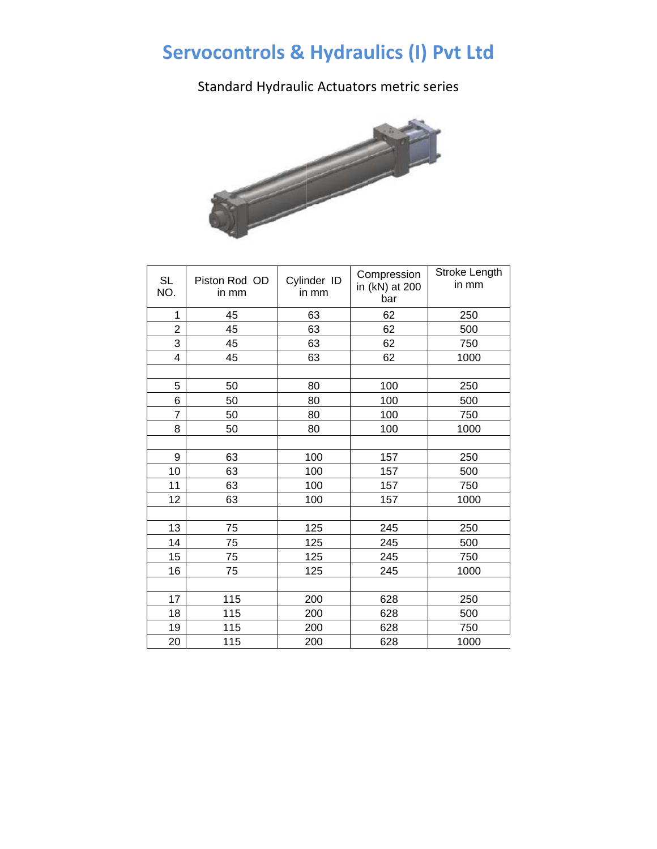## **Servocontrols & Hydraulics (I) Pvt Ltd**

Standard Hydraulic Actuators metric series



| <b>SL</b><br>NO. | Piston Rod OD<br>in mm | Cylinder ID<br>in mm | Compression<br>in (kN) at 200<br>bar | Stroke Length<br>in mm |
|------------------|------------------------|----------------------|--------------------------------------|------------------------|
| 1                | 45                     | 63                   | 62                                   | 250                    |
| $\overline{2}$   | 45                     | 63                   | 62                                   | 500                    |
| 3                | 45                     | 63                   | 62                                   | 750                    |
| 4                | 45                     | 63                   | 62                                   | 1000                   |
|                  |                        |                      |                                      |                        |
| 5                | 50                     | 80                   | 100                                  | 250                    |
| 6                | 50                     | 80                   | 100                                  | 500                    |
| $\overline{7}$   | 50                     | 80                   | 100                                  | 750                    |
| 8                | 50                     | 80                   | 100                                  | 1000                   |
|                  |                        |                      |                                      |                        |
| 9                | 63                     | 100                  | 157                                  | 250                    |
| 10               | 63                     | 100                  | 157                                  | 500                    |
| 11               | 63                     | 100                  | 157                                  | 750                    |
| 12               | 63                     | 100                  | 157                                  | 1000                   |
|                  |                        |                      |                                      |                        |
| 13               | 75                     | 125                  | 245                                  | 250                    |
| 14               | 75                     | 125                  | 245                                  | 500                    |
| 15               | 75                     | 125                  | 245                                  | 750                    |
| 16               | 75                     | 125                  | 245                                  | 1000                   |
|                  |                        |                      |                                      |                        |
| 17               | 115                    | 200                  | 628                                  | 250                    |
| 18               | 115                    | 200                  | 628                                  | 500                    |
| 19               | 115                    | 200                  | 628                                  | 750                    |
| 20               | 115                    | 200                  | 628                                  | 1000                   |